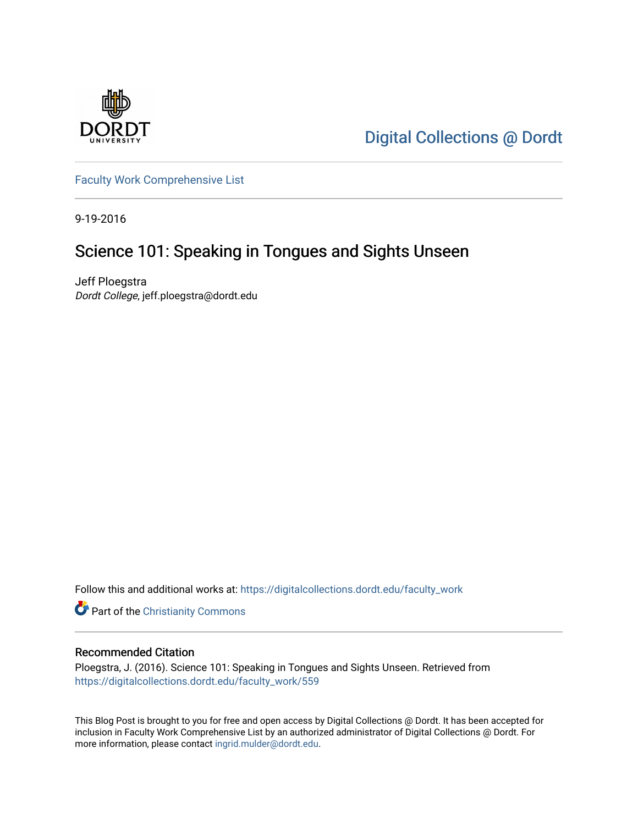

[Digital Collections @ Dordt](https://digitalcollections.dordt.edu/) 

[Faculty Work Comprehensive List](https://digitalcollections.dordt.edu/faculty_work)

9-19-2016

## Science 101: Speaking in Tongues and Sights Unseen

Jeff Ploegstra Dordt College, jeff.ploegstra@dordt.edu

Follow this and additional works at: [https://digitalcollections.dordt.edu/faculty\\_work](https://digitalcollections.dordt.edu/faculty_work?utm_source=digitalcollections.dordt.edu%2Ffaculty_work%2F559&utm_medium=PDF&utm_campaign=PDFCoverPages) 

**Part of the Christianity Commons** 

#### Recommended Citation

Ploegstra, J. (2016). Science 101: Speaking in Tongues and Sights Unseen. Retrieved from [https://digitalcollections.dordt.edu/faculty\\_work/559](https://digitalcollections.dordt.edu/faculty_work/559?utm_source=digitalcollections.dordt.edu%2Ffaculty_work%2F559&utm_medium=PDF&utm_campaign=PDFCoverPages) 

This Blog Post is brought to you for free and open access by Digital Collections @ Dordt. It has been accepted for inclusion in Faculty Work Comprehensive List by an authorized administrator of Digital Collections @ Dordt. For more information, please contact [ingrid.mulder@dordt.edu.](mailto:ingrid.mulder@dordt.edu)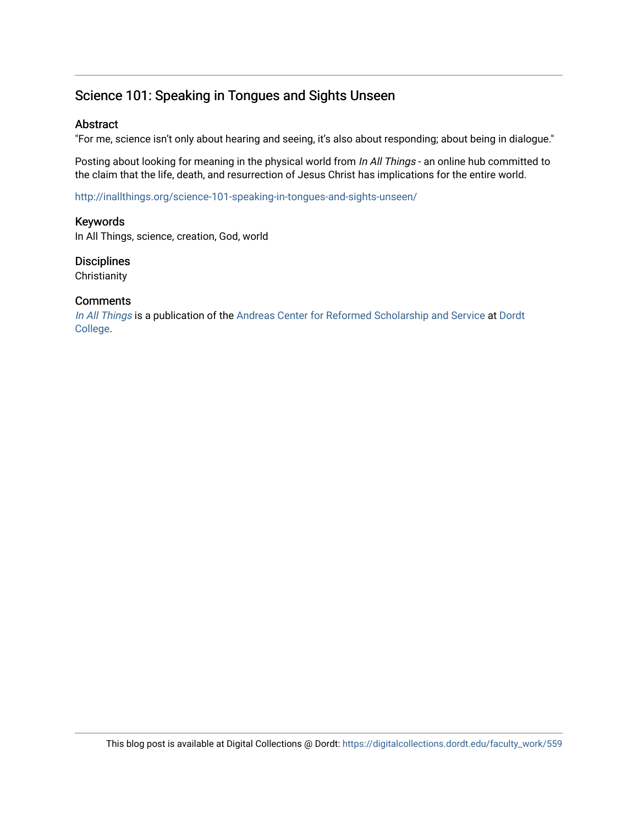### Science 101: Speaking in Tongues and Sights Unseen

#### **Abstract**

"For me, science isn't only about hearing and seeing, it's also about responding; about being in dialogue."

Posting about looking for meaning in the physical world from In All Things - an online hub committed to the claim that the life, death, and resurrection of Jesus Christ has implications for the entire world.

<http://inallthings.org/science-101-speaking-in-tongues-and-sights-unseen/>

#### Keywords

In All Things, science, creation, God, world

## **Disciplines**

**Christianity** 

#### **Comments**

[In All Things](http://inallthings.org/) is a publication of the [Andreas Center for Reformed Scholarship and Service](http://www.dordt.edu/services_support/andreas_center/) at Dordt [College](http://www.dordt.edu/).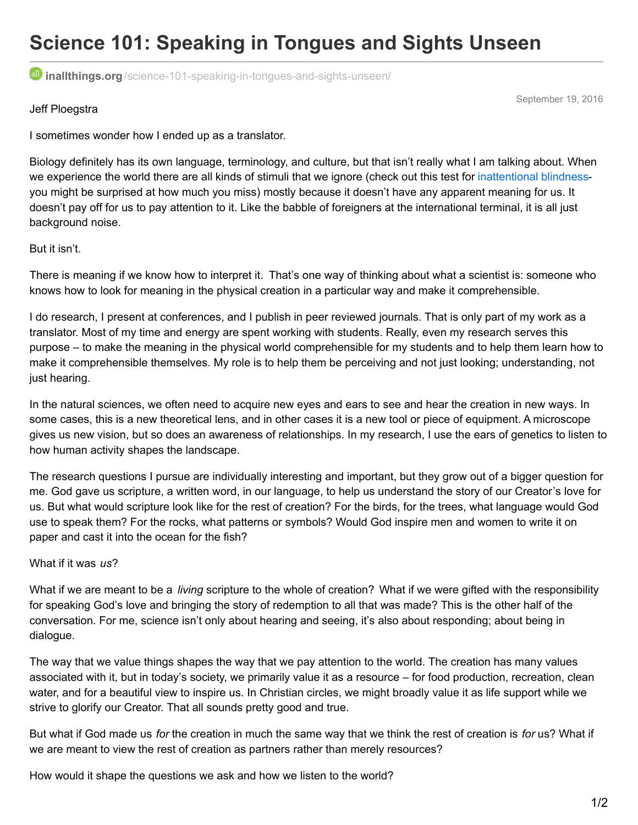# **Science 101: Speaking in Tongues and Sights Unseen**

**inallthings.org**[/science-101-speaking-in-tongues-and-sights-unseen/](http://inallthings.org/science-101-speaking-in-tongues-and-sights-unseen/)

September 19, 2016

#### Jeff Ploegstra

I sometimes wonder how I ended up as a translator.

Biology definitely has its own language, terminology, and culture, but that isn't really what I am talking about. When we experience the world there are all kinds of stimuli that we ignore (check out this test for [inattentional](https://www.youtube.com/watch?v=Ahg6qcgoay4) blindnessyou might be surprised at how much you miss) mostly because it doesn't have any apparent meaning for us. It doesn't pay off for us to pay attention to it. Like the babble of foreigners at the international terminal, it is all just background noise.

#### But it isn't.

There is meaning if we know how to interpret it. That's one way of thinking about what a scientist is: someone who knows how to look for meaning in the physical creation in a particular way and make it comprehensible.

I do research, I present at conferences, and I publish in peer reviewed journals. That is only part of my work as a translator. Most of my time and energy are spent working with students. Really, even my research serves this purpose – to make the meaning in the physical world comprehensible for my students and to help them learn how to make it comprehensible themselves. My role is to help them be perceiving and not just looking; understanding, not just hearing.

In the natural sciences, we often need to acquire new eyes and ears to see and hear the creation in new ways. In some cases, this is a new theoretical lens, and in other cases it is a new tool or piece of equipment. A microscope gives us new vision, but so does an awareness of relationships. In my research, I use the ears of genetics to listen to how human activity shapes the landscape.

The research questions I pursue are individually interesting and important, but they grow out of a bigger question for me. God gave us scripture, a written word, in our language, to help us understand the story of our Creator's love for us. But what would scripture look like for the rest of creation? For the birds, for the trees, what language would God use to speak them? For the rocks, what patterns or symbols? Would God inspire men and women to write it on paper and cast it into the ocean for the fish?

#### What if it was *us*?

What if we are meant to be a *living* scripture to the whole of creation? What if we were gifted with the responsibility for speaking God's love and bringing the story of redemption to all that was made? This is the other half of the conversation. For me, science isn't only about hearing and seeing, it's also about responding; about being in dialogue.

The way that we value things shapes the way that we pay attention to the world. The creation has many values associated with it, but in today's society, we primarily value it as a resource – for food production, recreation, clean water, and for a beautiful view to inspire us. In Christian circles, we might broadly value it as life support while we strive to glorify our Creator. That all sounds pretty good and true.

But what if God made us *for* the creation in much the same way that we think the rest of creation is *for* us? What if we are meant to view the rest of creation as partners rather than merely resources?

How would it shape the questions we ask and how we listen to the world?